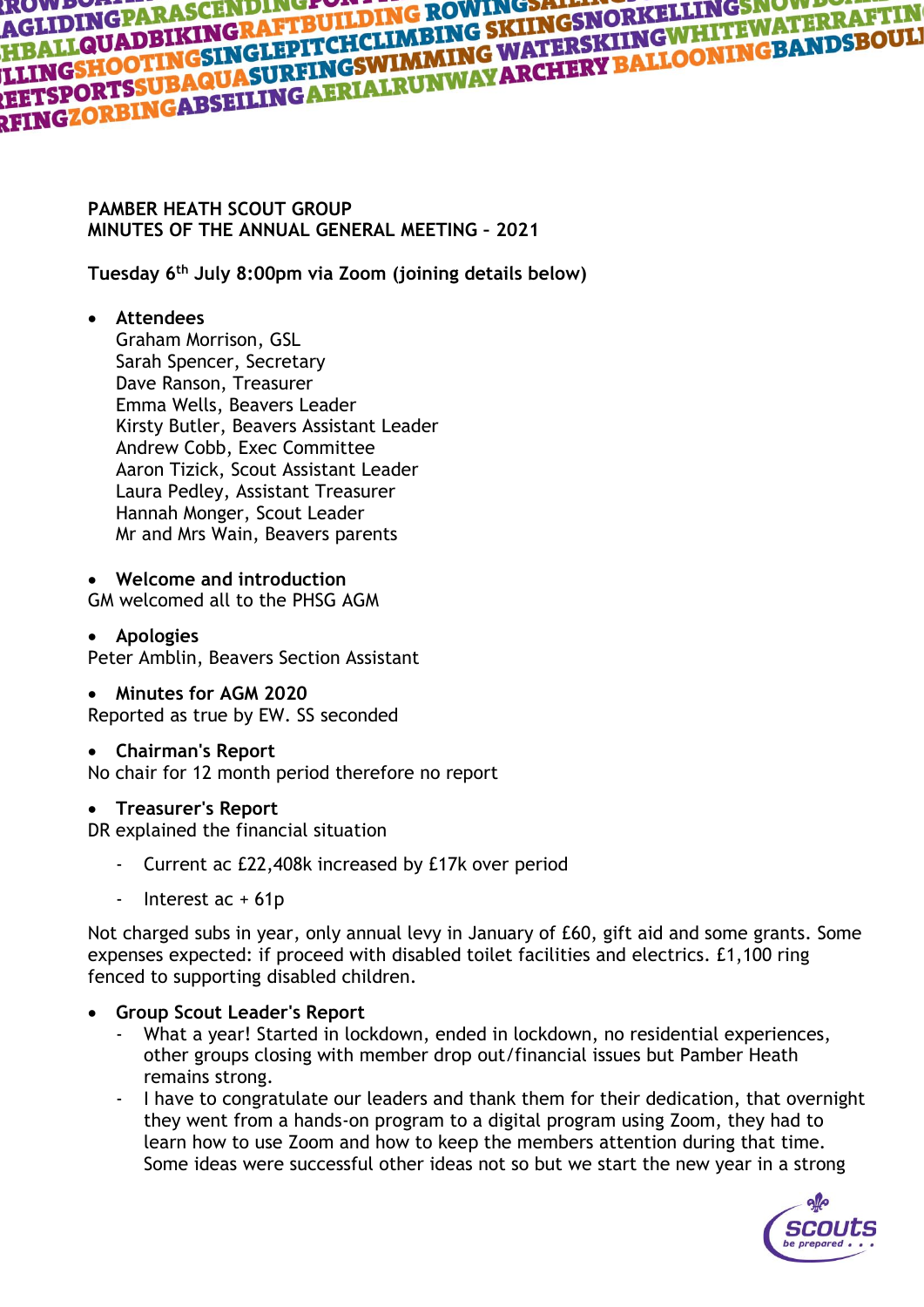# **AGLIDINGPARASCENDINGFOLLDING ROWINGSALT MESSION NEWSTAPPING SKILDING PARAFTING**<br>HBALLQUADBIKINGRAFTBUILDING SKIINGSNORKELLINGTHRRAFTING<br>LLINGSHOOTINGSINGLEPITCHCLIMBING WATERSKIINGWHITEWATERRAFTING<br>LETSPORTSSUBAQUASURFING AGLIDINGPARIKINGRAFTBULLDING BKIINGSNOKKE<br>HBALLQUADBIKINGRAFTBULLDING SKIINGSNOKKEWHITEWATERRAFTIK<br>LLING<mark>SHOOTING</mark>SINGLEPITCHCLIMBING WATERSKIINGWHITEWATERRAFTIKI<br>LETSPORTSSUBAQUASURFINGSWIMMAYARCHERY BALLOONINGBANDSBOULI<br>

#### **PAMBER HEATH SCOUT GROUP MINUTES OF THE ANNUAL GENERAL MEETING – 2021**

**Tuesday 6th July 8:00pm via Zoom (joining details below)**

## • **Attendees**

Graham Morrison, GSL Sarah Spencer, Secretary Dave Ranson, Treasurer Emma Wells, Beavers Leader Kirsty Butler, Beavers Assistant Leader Andrew Cobb, Exec Committee Aaron Tizick, Scout Assistant Leader Laura Pedley, Assistant Treasurer Hannah Monger, Scout Leader Mr and Mrs Wain, Beavers parents

• **Welcome and introduction** GM welcomed all to the PHSG AGM

#### • **Apologies** Peter Amblin, Beavers Section Assistant

## • **Minutes for AGM 2020**

Reported as true by EW. SS seconded

#### • **Chairman's Report**

No chair for 12 month period therefore no report

#### • **Treasurer's Report**

DR explained the financial situation

- Current ac £22,408k increased by £17k over period
- Interest ac + 61p

Not charged subs in year, only annual levy in January of £60, gift aid and some grants. Some expenses expected: if proceed with disabled toilet facilities and electrics. £1,100 ring fenced to supporting disabled children.

- **Group Scout Leader's Report**
	- What a year! Started in lockdown, ended in lockdown, no residential experiences, other groups closing with member drop out/financial issues but Pamber Heath remains strong.
	- I have to congratulate our leaders and thank them for their dedication, that overnight they went from a hands-on program to a digital program using Zoom, they had to learn how to use Zoom and how to keep the members attention during that time. Some ideas were successful other ideas not so but we start the new year in a strong

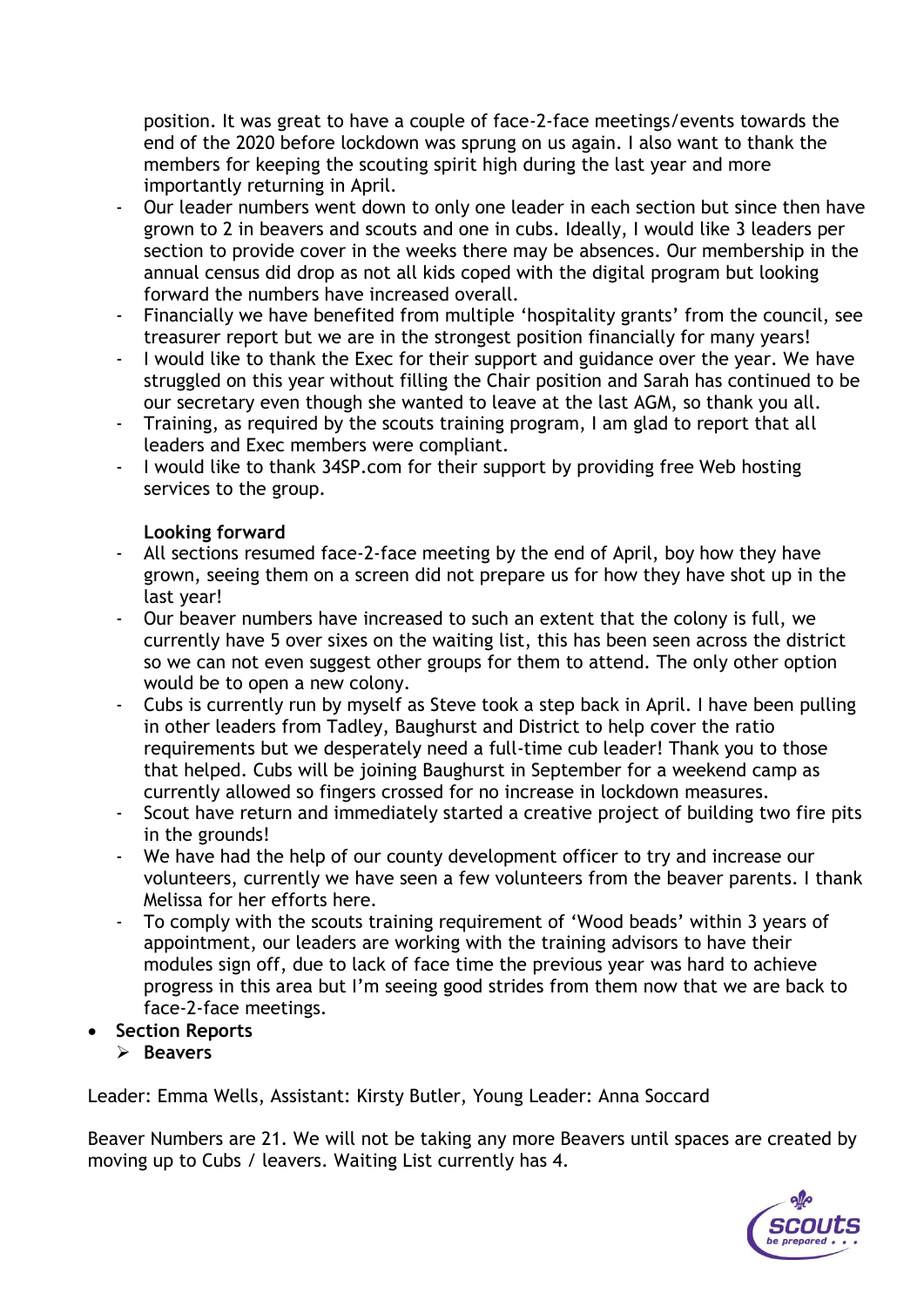position. It was great to have a couple of face-2-face meetings/events towards the end of the 2020 before lockdown was sprung on us again. I also want to thank the members for keeping the scouting spirit high during the last year and more importantly returning in April.

- Our leader numbers went down to only one leader in each section but since then have grown to 2 in beavers and scouts and one in cubs. Ideally, I would like 3 leaders per section to provide cover in the weeks there may be absences. Our membership in the annual census did drop as not all kids coped with the digital program but looking forward the numbers have increased overall.
- Financially we have benefited from multiple 'hospitality grants' from the council, see treasurer report but we are in the strongest position financially for many years!
- I would like to thank the Exec for their support and guidance over the year. We have struggled on this year without filling the Chair position and Sarah has continued to be our secretary even though she wanted to leave at the last AGM, so thank you all.
- Training, as required by the scouts training program, I am glad to report that all leaders and Exec members were compliant.
- I would like to thank 34SP.com for their support by providing free Web hosting services to the group.

#### **Looking forward**

- All sections resumed face-2-face meeting by the end of April, boy how they have grown, seeing them on a screen did not prepare us for how they have shot up in the last year!
- Our beaver numbers have increased to such an extent that the colony is full, we currently have 5 over sixes on the waiting list, this has been seen across the district so we can not even suggest other groups for them to attend. The only other option would be to open a new colony.
- Cubs is currently run by myself as Steve took a step back in April. I have been pulling in other leaders from Tadley, Baughurst and District to help cover the ratio requirements but we desperately need a full-time cub leader! Thank you to those that helped. Cubs will be joining Baughurst in September for a weekend camp as currently allowed so fingers crossed for no increase in lockdown measures.
- Scout have return and immediately started a creative project of building two fire pits in the grounds!
- We have had the help of our county development officer to try and increase our volunteers, currently we have seen a few volunteers from the beaver parents. I thank Melissa for her efforts here.
- To comply with the scouts training requirement of 'Wood beads' within 3 years of appointment, our leaders are working with the training advisors to have their modules sign off, due to lack of face time the previous year was hard to achieve progress in this area but I'm seeing good strides from them now that we are back to face-2-face meetings.
- **Section Reports**
	- ➢ **Beavers**

Leader: Emma Wells, Assistant: Kirsty Butler, Young Leader: Anna Soccard

Beaver Numbers are 21. We will not be taking any more Beavers until spaces are created by moving up to Cubs / leavers. Waiting List currently has 4.

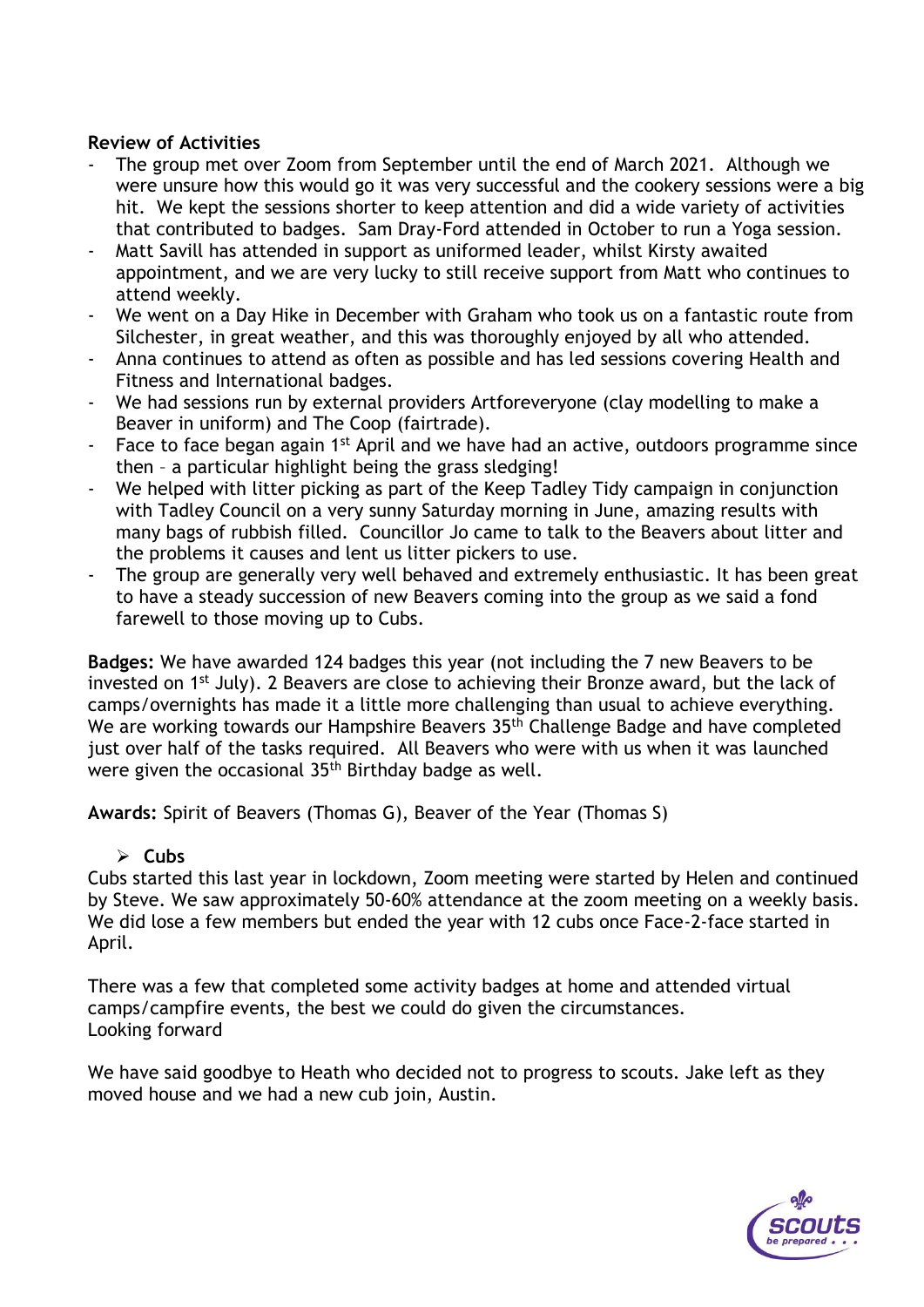#### **Review of Activities**

- The group met over Zoom from September until the end of March 2021. Although we were unsure how this would go it was very successful and the cookery sessions were a big hit. We kept the sessions shorter to keep attention and did a wide variety of activities that contributed to badges. Sam Dray-Ford attended in October to run a Yoga session.
- Matt Savill has attended in support as uniformed leader, whilst Kirsty awaited appointment, and we are very lucky to still receive support from Matt who continues to attend weekly.
- We went on a Day Hike in December with Graham who took us on a fantastic route from Silchester, in great weather, and this was thoroughly enjoyed by all who attended.
- Anna continues to attend as often as possible and has led sessions covering Health and Fitness and International badges.
- We had sessions run by external providers Artforeveryone (clay modelling to make a Beaver in uniform) and The Coop (fairtrade).
- Face to face began again 1<sup>st</sup> April and we have had an active, outdoors programme since then – a particular highlight being the grass sledging!
- We helped with litter picking as part of the Keep Tadley Tidy campaign in conjunction with Tadley Council on a very sunny Saturday morning in June, amazing results with many bags of rubbish filled. Councillor Jo came to talk to the Beavers about litter and the problems it causes and lent us litter pickers to use.
- The group are generally very well behaved and extremely enthusiastic. It has been great to have a steady succession of new Beavers coming into the group as we said a fond farewell to those moving up to Cubs.

**Badges:** We have awarded 124 badges this year (not including the 7 new Beavers to be invested on 1<sup>st</sup> July). 2 Beavers are close to achieving their Bronze award, but the lack of camps/overnights has made it a little more challenging than usual to achieve everything. We are working towards our Hampshire Beavers 35<sup>th</sup> Challenge Badge and have completed just over half of the tasks required. All Beavers who were with us when it was launched were given the occasional 35th Birthday badge as well.

**Awards:** Spirit of Beavers (Thomas G), Beaver of the Year (Thomas S)

#### ➢ **Cubs**

Cubs started this last year in lockdown, Zoom meeting were started by Helen and continued by Steve. We saw approximately 50-60% attendance at the zoom meeting on a weekly basis. We did lose a few members but ended the year with 12 cubs once Face-2-face started in April.

There was a few that completed some activity badges at home and attended virtual camps/campfire events, the best we could do given the circumstances. Looking forward

We have said goodbye to Heath who decided not to progress to scouts. Jake left as they moved house and we had a new cub join, Austin.